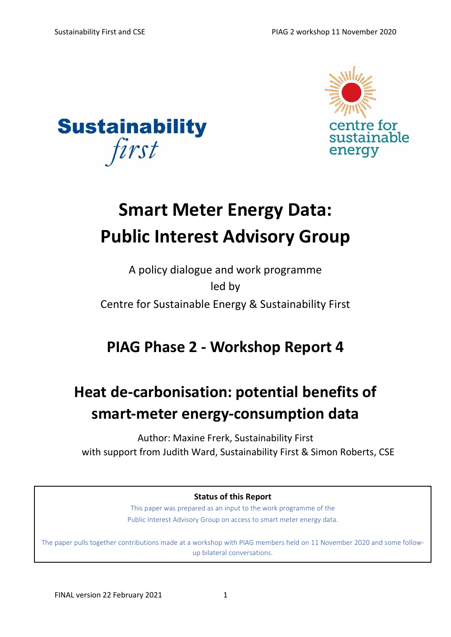



# **Smart Meter Energy Data: Public Interest Advisory Group**

### A policy dialogue and work programme led by Centre for Sustainable Energy & Sustainability First

## **PIAG Phase 2 - Workshop Report 4**

# **Heat de-carbonisation: potential benefits of smart-meter energy-consumption data**

Author: Maxine Frerk, Sustainability First with support from Judith Ward, Sustainability First & Simon Roberts, CSE

**Status of this Report** 

This paper was prepared as an input to the work programme of the Public Interest Advisory Group on access to smart meter energy data.

The paper pulls together contributions made at a workshop with PIAG members held on 11 November 2020 and some followup bilateral conversations.

Any oversight or other errors are the responsibility of Sustainability First and CSE.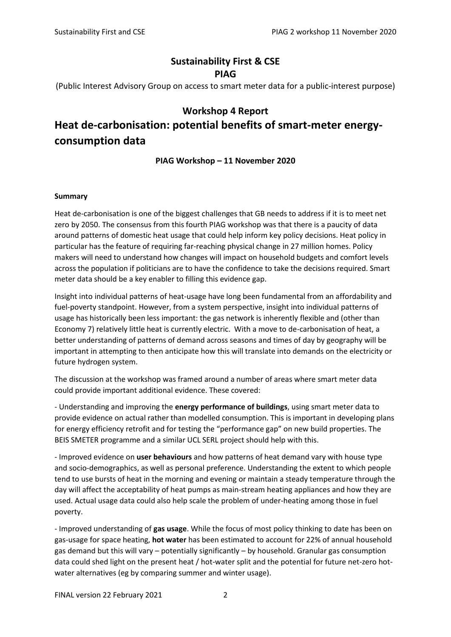### **Sustainability First & CSE PIAG**

(Public Interest Advisory Group on access to smart meter data for a public-interest purpose)

#### **Workshop 4 Report**

### **Heat de-carbonisation: potential benefits of smart-meter energyconsumption data**

#### **PIAG Workshop – 11 November 2020**

#### **Summary**

Heat de-carbonisation is one of the biggest challenges that GB needs to address if it is to meet net zero by 2050. The consensus from this fourth PIAG workshop was that there is a paucity of data around patterns of domestic heat usage that could help inform key policy decisions. Heat policy in particular has the feature of requiring far-reaching physical change in 27 million homes. Policy makers will need to understand how changes will impact on household budgets and comfort levels across the population if politicians are to have the confidence to take the decisions required. Smart meter data should be a key enabler to filling this evidence gap.

Insight into individual patterns of heat-usage have long been fundamental from an affordability and fuel-poverty standpoint. However, from a system perspective, insight into individual patterns of usage has historically been less important: the gas network is inherently flexible and (other than Economy 7) relatively little heat is currently electric. With a move to de-carbonisation of heat, a better understanding of patterns of demand across seasons and times of day by geography will be important in attempting to then anticipate how this will translate into demands on the electricity or future hydrogen system.

The discussion at the workshop was framed around a number of areas where smart meter data could provide important additional evidence. These covered:

- Understanding and improving the **energy performance of buildings**, using smart meter data to provide evidence on actual rather than modelled consumption. This is important in developing plans for energy efficiency retrofit and for testing the "performance gap" on new build properties. The BEIS SMETER programme and a similar UCL SERL project should help with this.

- Improved evidence on **user behaviours** and how patterns of heat demand vary with house type and socio-demographics, as well as personal preference. Understanding the extent to which people tend to use bursts of heat in the morning and evening or maintain a steady temperature through the day will affect the acceptability of heat pumps as main-stream heating appliances and how they are used. Actual usage data could also help scale the problem of under-heating among those in fuel poverty.

- Improved understanding of **gas usage**. While the focus of most policy thinking to date has been on gas-usage for space heating, **hot water** has been estimated to account for 22% of annual household gas demand but this will vary – potentially significantly – by household. Granular gas consumption data could shed light on the present heat / hot-water split and the potential for future net-zero hotwater alternatives (eg by comparing summer and winter usage).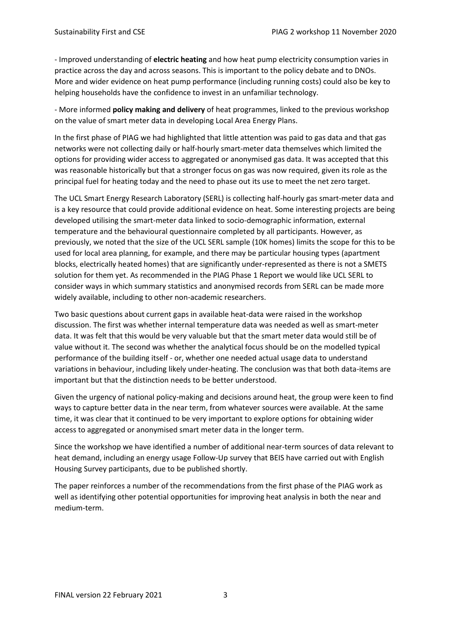- Improved understanding of **electric heating** and how heat pump electricity consumption varies in practice across the day and across seasons. This is important to the policy debate and to DNOs. More and wider evidence on heat pump performance (including running costs) could also be key to helping households have the confidence to invest in an unfamiliar technology.

- More informed **policy making and delivery** of heat programmes, linked to the previous workshop on the value of smart meter data in developing Local Area Energy Plans.

In the first phase of PIAG we had highlighted that little attention was paid to gas data and that gas networks were not collecting daily or half-hourly smart-meter data themselves which limited the options for providing wider access to aggregated or anonymised gas data. It was accepted that this was reasonable historically but that a stronger focus on gas was now required, given its role as the principal fuel for heating today and the need to phase out its use to meet the net zero target.

The UCL Smart Energy Research Laboratory (SERL) is collecting half-hourly gas smart-meter data and is a key resource that could provide additional evidence on heat. Some interesting projects are being developed utilising the smart-meter data linked to socio-demographic information, external temperature and the behavioural questionnaire completed by all participants. However, as previously, we noted that the size of the UCL SERL sample (10K homes) limits the scope for this to be used for local area planning, for example, and there may be particular housing types (apartment blocks, electrically heated homes) that are significantly under-represented as there is not a SMETS solution for them yet. As recommended in the PIAG Phase 1 Report we would like UCL SERL to consider ways in which summary statistics and anonymised records from SERL can be made more widely available, including to other non-academic researchers.

Two basic questions about current gaps in available heat-data were raised in the workshop discussion. The first was whether internal temperature data was needed as well as smart-meter data. It was felt that this would be very valuable but that the smart meter data would still be of value without it. The second was whether the analytical focus should be on the modelled typical performance of the building itself - or, whether one needed actual usage data to understand variations in behaviour, including likely under-heating. The conclusion was that both data-items are important but that the distinction needs to be better understood.

Given the urgency of national policy-making and decisions around heat, the group were keen to find ways to capture better data in the near term, from whatever sources were available. At the same time, it was clear that it continued to be very important to explore options for obtaining wider access to aggregated or anonymised smart meter data in the longer term.

Since the workshop we have identified a number of additional near-term sources of data relevant to heat demand, including an energy usage Follow-Up survey that BEIS have carried out with English Housing Survey participants, due to be published shortly.

The paper reinforces a number of the recommendations from the first phase of the PIAG work as well as identifying other potential opportunities for improving heat analysis in both the near and medium-term.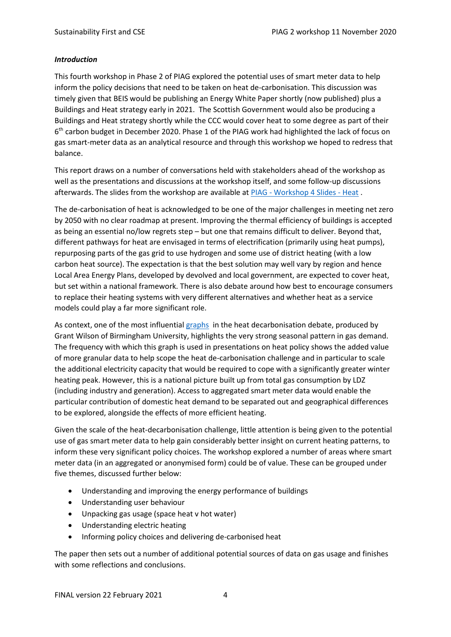#### *Introduction*

This fourth workshop in Phase 2 of PIAG explored the potential uses of smart meter data to help inform the policy decisions that need to be taken on heat de-carbonisation. This discussion was timely given that BEIS would be publishing an Energy White Paper shortly (now published) plus a Buildings and Heat strategy early in 2021. The Scottish Government would also be producing a Buildings and Heat strategy shortly while the CCC would cover heat to some degree as part of their 6<sup>th</sup> carbon budget in December 2020. Phase 1 of the PIAG work had highlighted the lack of focus on gas smart-meter data as an analytical resource and through this workshop we hoped to redress that balance.

This report draws on a number of conversations held with stakeholders ahead of the workshop as well as the presentations and discussions at the workshop itself, and some follow-up discussions afterwards. The slides from the workshop are available at PIAG - [Workshop 4 Slides -](https://d37809f7-dc9f-4c4f-835a-410a5acfa633.filesusr.com/ugd/ea9deb_587613bba3b8410aa3e306de09b58de9.pdf) Heat .

The de-carbonisation of heat is acknowledged to be one of the major challenges in meeting net zero by 2050 with no clear roadmap at present. Improving the thermal efficiency of buildings is accepted as being an essential no/low regrets step – but one that remains difficult to deliver. Beyond that, different pathways for heat are envisaged in terms of electrification (primarily using heat pumps), repurposing parts of the gas grid to use hydrogen and some use of district heating (with a low carbon heat source). The expectation is that the best solution may well vary by region and hence Local Area Energy Plans, developed by devolved and local government, are expected to cover heat, but set within a national framework. There is also debate around how best to encourage consumers to replace their heating systems with very different alternatives and whether heat as a service models could play a far more significant role.

As context, one of the most influentia[l graphs](https://image.slidesharecdn.com/grantwilsonwhyenergystorage-150129140447-conversion-gate01/95/why-energy-storage-grant-wilson-8-638.jpg?cb=1422540959) in the heat decarbonisation debate, produced by Grant Wilson of Birmingham University, highlights the very strong seasonal pattern in gas demand. The frequency with which this graph is used in presentations on heat policy shows the added value of more granular data to help scope the heat de-carbonisation challenge and in particular to scale the additional electricity capacity that would be required to cope with a significantly greater winter heating peak. However, this is a national picture built up from total gas consumption by LDZ (including industry and generation). Access to aggregated smart meter data would enable the particular contribution of domestic heat demand to be separated out and geographical differences to be explored, alongside the effects of more efficient heating.

Given the scale of the heat-decarbonisation challenge, little attention is being given to the potential use of gas smart meter data to help gain considerably better insight on current heating patterns, to inform these very significant policy choices. The workshop explored a number of areas where smart meter data (in an aggregated or anonymised form) could be of value. These can be grouped under five themes, discussed further below:

- Understanding and improving the energy performance of buildings
- Understanding user behaviour
- Unpacking gas usage (space heat v hot water)
- Understanding electric heating
- Informing policy choices and delivering de-carbonised heat

The paper then sets out a number of additional potential sources of data on gas usage and finishes with some reflections and conclusions.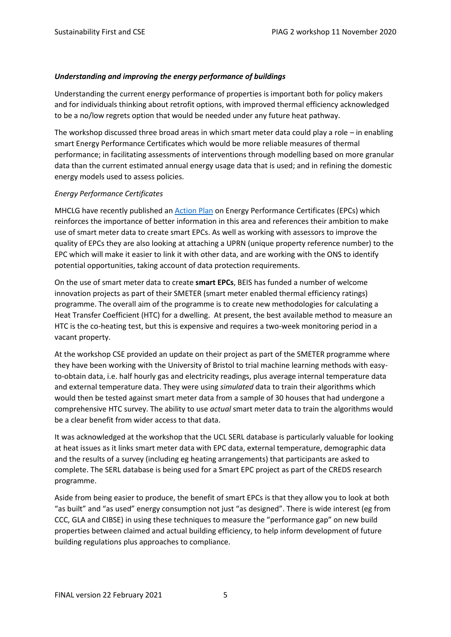#### *Understanding and improving the energy performance of buildings*

Understanding the current energy performance of properties is important both for policy makers and for individuals thinking about retrofit options, with improved thermal efficiency acknowledged to be a no/low regrets option that would be needed under any future heat pathway.

The workshop discussed three broad areas in which smart meter data could play a role – in enabling smart Energy Performance Certificates which would be more reliable measures of thermal performance; in facilitating assessments of interventions through modelling based on more granular data than the current estimated annual energy usage data that is used; and in refining the domestic energy models used to assess policies.

#### *Energy Performance Certificates*

MHCLG have recently published an [Action Plan](https://www.gov.uk/government/consultations/energy-performance-certificates-in-buildings-call-for-evidence) on Energy Performance Certificates (EPCs) which reinforces the importance of better information in this area and references their ambition to make use of smart meter data to create smart EPCs. As well as working with assessors to improve the quality of EPCs they are also looking at attaching a UPRN (unique property reference number) to the EPC which will make it easier to link it with other data, and are working with the ONS to identify potential opportunities, taking account of data protection requirements.

On the use of smart meter data to create **smart EPCs**, BEIS has funded a number of welcome innovation projects as part of their SMETER (smart meter enabled thermal efficiency ratings) programme. The overall aim of the programme is to create new methodologies for calculating a Heat Transfer Coefficient (HTC) for a dwelling. At present, the best available method to measure an HTC is the co-heating test, but this is expensive and requires a two-week monitoring period in a vacant property.

At the workshop CSE provided an update on their project as part of the SMETER programme where they have been working with the University of Bristol to trial machine learning methods with easyto-obtain data, i.e. half hourly gas and electricity readings, plus average internal temperature data and external temperature data. They were using *simulated* data to train their algorithms which would then be tested against smart meter data from a sample of 30 houses that had undergone a comprehensive HTC survey. The ability to use *actual* smart meter data to train the algorithms would be a clear benefit from wider access to that data.

It was acknowledged at the workshop that the UCL SERL database is particularly valuable for looking at heat issues as it links smart meter data with EPC data, external temperature, demographic data and the results of a survey (including eg heating arrangements) that participants are asked to complete. The SERL database is being used for a Smart EPC project as part of the CREDS research programme.

Aside from being easier to produce, the benefit of smart EPCs is that they allow you to look at both "as built" and "as used" energy consumption not just "as designed". There is wide interest (eg from CCC, GLA and CIBSE) in using these techniques to measure the "performance gap" on new build properties between claimed and actual building efficiency, to help inform development of future building regulations plus approaches to compliance.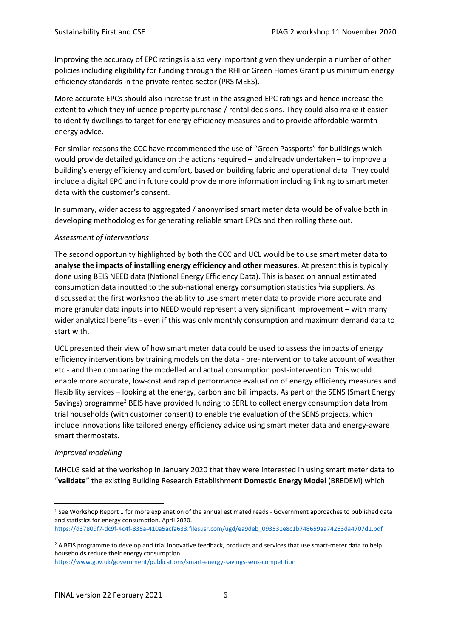Improving the accuracy of EPC ratings is also very important given they underpin a number of other policies including eligibility for funding through the RHI or Green Homes Grant plus minimum energy efficiency standards in the private rented sector (PRS MEES).

More accurate EPCs should also increase trust in the assigned EPC ratings and hence increase the extent to which they influence property purchase / rental decisions. They could also make it easier to identify dwellings to target for energy efficiency measures and to provide affordable warmth energy advice.

For similar reasons the CCC have recommended the use of "Green Passports" for buildings which would provide detailed guidance on the actions required – and already undertaken – to improve a building's energy efficiency and comfort, based on building fabric and operational data. They could include a digital EPC and in future could provide more information including linking to smart meter data with the customer's consent.

In summary, wider access to aggregated / anonymised smart meter data would be of value both in developing methodologies for generating reliable smart EPCs and then rolling these out.

#### *Assessment of interventions*

The second opportunity highlighted by both the CCC and UCL would be to use smart meter data to **analyse the impacts of installing energy efficiency and other measures**. At present this is typically done using BEIS NEED data (National Energy Efficiency Data). This is based on annual estimated consumption data inputted to the sub-national energy consumption statistics <sup>1</sup>via suppliers. As discussed at the first workshop the ability to use smart meter data to provide more accurate and more granular data inputs into NEED would represent a very significant improvement – with many wider analytical benefits - even if this was only monthly consumption and maximum demand data to start with.

UCL presented their view of how smart meter data could be used to assess the impacts of energy efficiency interventions by training models on the data - pre-intervention to take account of weather etc - and then comparing the modelled and actual consumption post-intervention. This would enable more accurate, low-cost and rapid performance evaluation of energy efficiency measures and flexibility services – looking at the energy, carbon and bill impacts. As part of the SENS (Smart Energy Savings) programme<sup>2</sup> BEIS have provided funding to SERL to collect energy consumption data from trial households (with customer consent) to enable the evaluation of the SENS projects, which include innovations like tailored energy efficiency advice using smart meter data and energy-aware smart thermostats.

#### *Improved modelling*

MHCLG said at the workshop in January 2020 that they were interested in using smart meter data to "**validate**" the existing Building Research Establishment **Domestic Energy Model** (BREDEM) which

<sup>1</sup> See Workshop Report 1 for more explanation of the annual estimated reads - Government approaches to published data and statistics for energy consumption. April 2020.

[https://d37809f7-dc9f-4c4f-835a-410a5acfa633.filesusr.com/ugd/ea9deb\\_093531e8c1b748659aa74263da4707d1.pdf](https://d37809f7-dc9f-4c4f-835a-410a5acfa633.filesusr.com/ugd/ea9deb_093531e8c1b748659aa74263da4707d1.pdf)

<sup>&</sup>lt;sup>2</sup> A BEIS programme to develop and trial innovative feedback, products and services that use smart-meter data to help households reduce their energy consumption

<https://www.gov.uk/government/publications/smart-energy-savings-sens-competition>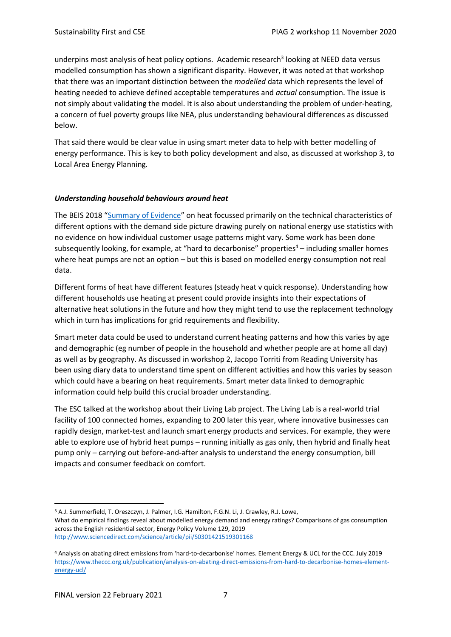underpins most analysis of heat policy options. Academic research<sup>3</sup> looking at NEED data versus modelled consumption has shown a significant disparity. However, it was noted at that workshop that there was an important distinction between the *modelled* data which represents the level of heating needed to achieve defined acceptable temperatures and *actual* consumption. The issue is not simply about validating the model. It is also about understanding the problem of under-heating, a concern of fuel poverty groups like NEA, plus understanding behavioural differences as discussed below.

That said there would be clear value in using smart meter data to help with better modelling of energy performance. This is key to both policy development and also, as discussed at workshop 3, to Local Area Energy Planning.

#### *Understanding household behaviours around heat*

The BEIS 2018 "[Summary of Evidence](https://assets.publishing.service.gov.uk/government/uploads/system/uploads/attachment_data/file/766109/decarbonising-heating.pdf)" on heat focussed primarily on the technical characteristics of different options with the demand side picture drawing purely on national energy use statistics with no evidence on how individual customer usage patterns might vary. Some work has been done subsequently looking, for example, at "hard to decarbonise" properties<sup>4</sup> – including smaller homes where heat pumps are not an option – but this is based on modelled energy consumption not real data.

Different forms of heat have different features (steady heat v quick response). Understanding how different households use heating at present could provide insights into their expectations of alternative heat solutions in the future and how they might tend to use the replacement technology which in turn has implications for grid requirements and flexibility.

Smart meter data could be used to understand current heating patterns and how this varies by age and demographic (eg number of people in the household and whether people are at home all day) as well as by geography. As discussed in workshop 2, Jacopo Torriti from Reading University has been using diary data to understand time spent on different activities and how this varies by season which could have a bearing on heat requirements. Smart meter data linked to demographic information could help build this crucial broader understanding.

The ESC talked at the workshop about their Living Lab project. The Living Lab is a real-world trial facility of 100 connected homes, expanding to 200 later this year, where innovative businesses can rapidly design, market-test and launch smart energy products and services. For example, they were able to explore use of hybrid heat pumps – running initially as gas only, then hybrid and finally heat pump only – carrying out before-and-after analysis to understand the energy consumption, bill impacts and consumer feedback on comfort.

<sup>3</sup> A.J. Summerfield, T. Oreszczyn, J. Palmer, I.G. Hamilton, F.G.N. Li, J. Crawley, R.J. Lowe, What do empirical findings reveal about modelled energy demand and energy ratings? Comparisons of gas consumption across the English residential sector, Energy Policy Volume 129, 2019 <http://www.sciencedirect.com/science/article/pii/S0301421519301168>

<sup>4</sup> Analysis on abating direct emissions from 'hard-to-decarbonise' homes. Element Energy & UCL for the CCC. July 2019 [https://www.theccc.org.uk/publication/analysis-on-abating-direct-emissions-from-hard-to-decarbonise-homes-element](https://www.theccc.org.uk/publication/analysis-on-abating-direct-emissions-from-hard-to-decarbonise-homes-element-energy-ucl/)[energy-ucl/](https://www.theccc.org.uk/publication/analysis-on-abating-direct-emissions-from-hard-to-decarbonise-homes-element-energy-ucl/)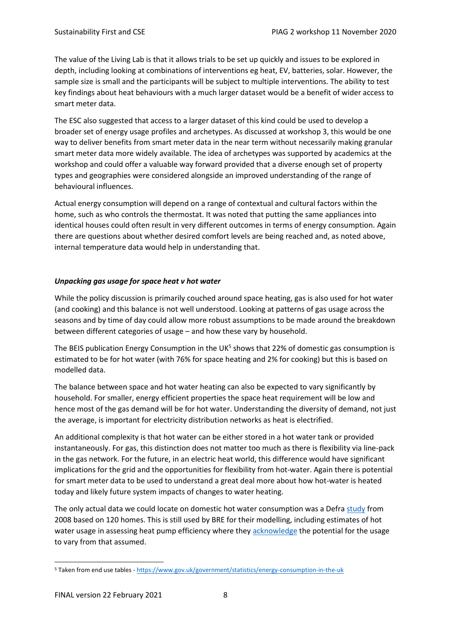The value of the Living Lab is that it allows trials to be set up quickly and issues to be explored in depth, including looking at combinations of interventions eg heat, EV, batteries, solar. However, the sample size is small and the participants will be subject to multiple interventions. The ability to test key findings about heat behaviours with a much larger dataset would be a benefit of wider access to smart meter data.

The ESC also suggested that access to a larger dataset of this kind could be used to develop a broader set of energy usage profiles and archetypes. As discussed at workshop 3, this would be one way to deliver benefits from smart meter data in the near term without necessarily making granular smart meter data more widely available. The idea of archetypes was supported by academics at the workshop and could offer a valuable way forward provided that a diverse enough set of property types and geographies were considered alongside an improved understanding of the range of behavioural influences.

Actual energy consumption will depend on a range of contextual and cultural factors within the home, such as who controls the thermostat. It was noted that putting the same appliances into identical houses could often result in very different outcomes in terms of energy consumption. Again there are questions about whether desired comfort levels are being reached and, as noted above, internal temperature data would help in understanding that.

#### *Unpacking gas usage for space heat v hot water*

While the policy discussion is primarily couched around space heating, gas is also used for hot water (and cooking) and this balance is not well understood. Looking at patterns of gas usage across the seasons and by time of day could allow more robust assumptions to be made around the breakdown between different categories of usage – and how these vary by household.

The BEIS publication Energy Consumption in the UK<sup>5</sup> shows that 22% of domestic gas consumption is estimated to be for hot water (with 76% for space heating and 2% for cooking) but this is based on modelled data.

The balance between space and hot water heating can also be expected to vary significantly by household. For smaller, energy efficient properties the space heat requirement will be low and hence most of the gas demand will be for hot water. Understanding the diversity of demand, not just the average, is important for electricity distribution networks as heat is electrified.

An additional complexity is that hot water can be either stored in a hot water tank or provided instantaneously. For gas, this distinction does not matter too much as there is flexibility via line-pack in the gas network. For the future, in an electric heat world, this difference would have significant implications for the grid and the opportunities for flexibility from hot-water. Again there is potential for smart meter data to be used to understand a great deal more about how hot-water is heated today and likely future system impacts of changes to water heating.

The only actual data we could locate on domestic hot water consumption was a Defr[a study](https://assets.publishing.service.gov.uk/government/uploads/system/uploads/attachment_data/file/48188/3147-measure-domestic-hot-water-consump.pdf) from 2008 based on 120 homes. This is still used by BRE for their modelling, including estimates of hot water usage in assessing heat pump efficiency where the[y acknowledge](https://www.bregroup.com/heatpumpefficiency/hot-water-consumption#:~:text=Hot%20water%20consumption%20Hot%20water%20consumption%20is%20normally,approx.%2080%20litres%20of%20hot%20water%20at%2055%C2%B0C%29) the potential for the usage to vary from that assumed.

<sup>5</sup> Taken from end use tables - <https://www.gov.uk/government/statistics/energy-consumption-in-the-uk>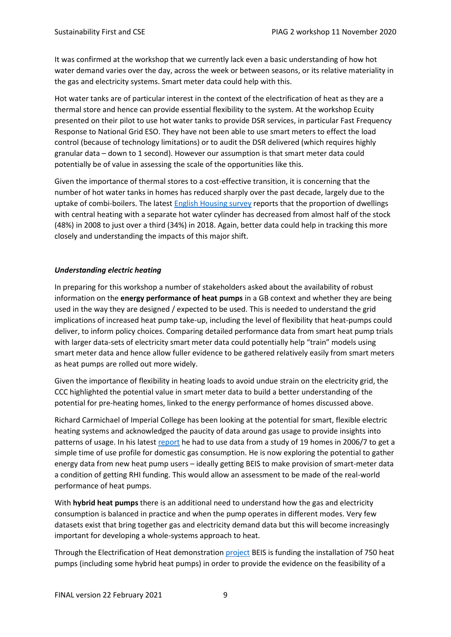It was confirmed at the workshop that we currently lack even a basic understanding of how hot water demand varies over the day, across the week or between seasons, or its relative materiality in the gas and electricity systems. Smart meter data could help with this.

Hot water tanks are of particular interest in the context of the electrification of heat as they are a thermal store and hence can provide essential flexibility to the system. At the workshop Ecuity presented on their pilot to use hot water tanks to provide DSR services, in particular Fast Frequency Response to National Grid ESO. They have not been able to use smart meters to effect the load control (because of technology limitations) or to audit the DSR delivered (which requires highly granular data – down to 1 second). However our assumption is that smart meter data could potentially be of value in assessing the scale of the opportunities like this.

Given the importance of thermal stores to a cost-effective transition, it is concerning that the number of hot water tanks in homes has reduced sharply over the past decade, largely due to the uptake of combi-boilers. The latest [English Housing survey](https://assets.publishing.service.gov.uk/government/uploads/system/uploads/attachment_data/file/898344/Energy_Report.pdf) reports that the proportion of dwellings with central heating with a separate hot water cylinder has decreased from almost half of the stock (48%) in 2008 to just over a third (34%) in 2018. Again, better data could help in tracking this more closely and understanding the impacts of this major shift.

#### *Understanding electric heating*

In preparing for this workshop a number of stakeholders asked about the availability of robust information on the **energy performance of heat pumps** in a GB context and whether they are being used in the way they are designed / expected to be used. This is needed to understand the grid implications of increased heat pump take-up, including the level of flexibility that heat-pumps could deliver, to inform policy choices. Comparing detailed performance data from smart heat pump trials with larger data-sets of electricity smart meter data could potentially help "train" models using smart meter data and hence allow fuller evidence to be gathered relatively easily from smart meters as heat pumps are rolled out more widely.

Given the importance of flexibility in heating loads to avoid undue strain on the electricity grid, the CCC highlighted the potential value in smart meter data to build a better understanding of the potential for pre-heating homes, linked to the energy performance of homes discussed above.

Richard Carmichael of Imperial College has been looking at the potential for smart, flexible electric heating systems and acknowledged the paucity of data around gas usage to provide insights into patterns of usage. In his latest [report](https://spiral.imperial.ac.uk:8443/handle/10044/1/82290) he had to use data from a study of 19 homes in 2006/7 to get a simple time of use profile for domestic gas consumption. He is now exploring the potential to gather energy data from new heat pump users – ideally getting BEIS to make provision of smart-meter data a condition of getting RHI funding. This would allow an assessment to be made of the real-world performance of heat pumps.

With **hybrid heat pumps** there is an additional need to understand how the gas and electricity consumption is balanced in practice and when the pump operates in different modes. Very few datasets exist that bring together gas and electricity demand data but this will become increasingly important for developing a whole-systems approach to heat.

Through the Electrification of Heat demonstration [project](https://es.catapult.org.uk/impact/projects/electrification-of-heat-demonstration/) BEIS is funding the installation of 750 heat pumps (including some hybrid heat pumps) in order to provide the evidence on the feasibility of a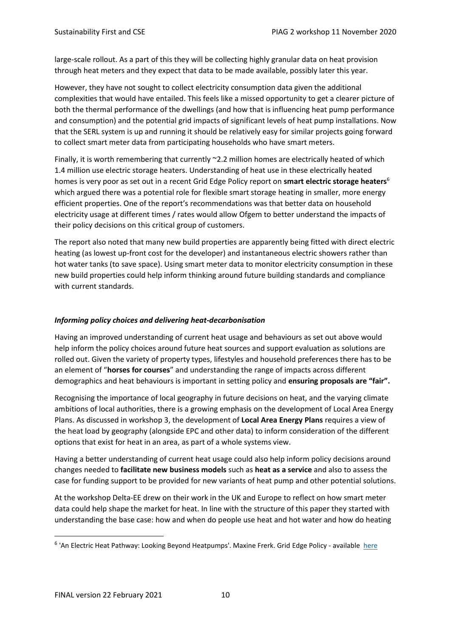large-scale rollout. As a part of this they will be collecting highly granular data on heat provision through heat meters and they expect that data to be made available, possibly later this year.

However, they have not sought to collect electricity consumption data given the additional complexities that would have entailed. This feels like a missed opportunity to get a clearer picture of both the thermal performance of the dwellings (and how that is influencing heat pump performance and consumption) and the potential grid impacts of significant levels of heat pump installations. Now that the SERL system is up and running it should be relatively easy for similar projects going forward to collect smart meter data from participating households who have smart meters.

Finally, it is worth remembering that currently ~2.2 million homes are electrically heated of which 1.4 million use electric storage heaters. Understanding of heat use in these electrically heated homes is very poor as set out in a recent Grid Edge Policy report on **smart electric storage heaters**<sup>6</sup> which argued there was a potential role for flexible smart storage heating in smaller, more energy efficient properties. One of the report's recommendations was that better data on household electricity usage at different times / rates would allow Ofgem to better understand the impacts of their policy decisions on this critical group of customers.

The report also noted that many new build properties are apparently being fitted with direct electric heating (as lowest up-front cost for the developer) and instantaneous electric showers rather than hot water tanks (to save space). Using smart meter data to monitor electricity consumption in these new build properties could help inform thinking around future building standards and compliance with current standards.

#### *Informing policy choices and delivering heat-decarbonisation*

Having an improved understanding of current heat usage and behaviours as set out above would help inform the policy choices around future heat sources and support evaluation as solutions are rolled out. Given the variety of property types, lifestyles and household preferences there has to be an element of "**horses for courses**" and understanding the range of impacts across different demographics and heat behaviours is important in setting policy and **ensuring proposals are "fair".**

Recognising the importance of local geography in future decisions on heat, and the varying climate ambitions of local authorities, there is a growing emphasis on the development of Local Area Energy Plans. As discussed in workshop 3, the development of **Local Area Energy Plans** requires a view of the heat load by geography (alongside EPC and other data) to inform consideration of the different options that exist for heat in an area, as part of a whole systems view.

Having a better understanding of current heat usage could also help inform policy decisions around changes needed to **facilitate new business models** such as **heat as a service** and also to assess the case for funding support to be provided for new variants of heat pump and other potential solutions.

At the workshop Delta-EE drew on their work in the UK and Europe to reflect on how smart meter data could help shape the market for heat. In line with the structure of this paper they started with understanding the base case: how and when do people use heat and hot water and how do heating

<sup>6</sup> 'An Electric Heat Pathway: Looking Beyond Heatpumps'. Maxine Frerk. Grid Edge Policy - available[here](https://www.ssen.co.uk/WorkArea/DownloadAsset.aspx?id=19155)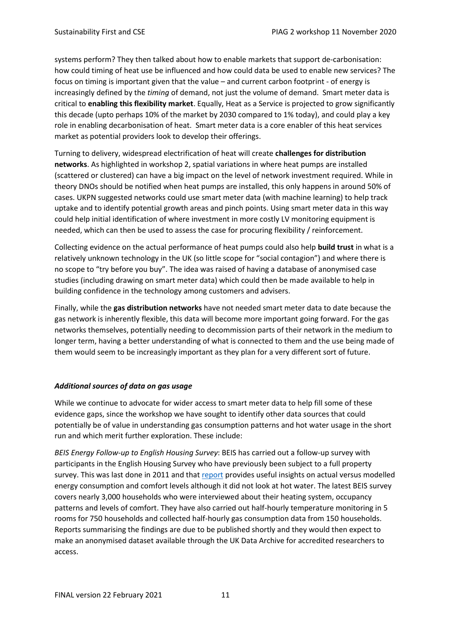systems perform? They then talked about how to enable markets that support de-carbonisation: how could timing of heat use be influenced and how could data be used to enable new services? The focus on timing is important given that the value – and current carbon footprint - of energy is increasingly defined by the *timing* of demand, not just the volume of demand. Smart meter data is critical to **enabling this flexibility market**. Equally, Heat as a Service is projected to grow significantly this decade (upto perhaps 10% of the market by 2030 compared to 1% today), and could play a key role in enabling decarbonisation of heat. Smart meter data is a core enabler of this heat services market as potential providers look to develop their offerings.

Turning to delivery, widespread electrification of heat will create **challenges for distribution networks**. As highlighted in workshop 2, spatial variations in where heat pumps are installed (scattered or clustered) can have a big impact on the level of network investment required. While in theory DNOs should be notified when heat pumps are installed, this only happens in around 50% of cases. UKPN suggested networks could use smart meter data (with machine learning) to help track uptake and to identify potential growth areas and pinch points. Using smart meter data in this way could help initial identification of where investment in more costly LV monitoring equipment is needed, which can then be used to assess the case for procuring flexibility / reinforcement.

Collecting evidence on the actual performance of heat pumps could also help **build trust** in what is a relatively unknown technology in the UK (so little scope for "social contagion") and where there is no scope to "try before you buy". The idea was raised of having a database of anonymised case studies (including drawing on smart meter data) which could then be made available to help in building confidence in the technology among customers and advisers.

Finally, while the **gas distribution networks** have not needed smart meter data to date because the gas network is inherently flexible, this data will become more important going forward. For the gas networks themselves, potentially needing to decommission parts of their network in the medium to longer term, having a better understanding of what is connected to them and the use being made of them would seem to be increasingly important as they plan for a very different sort of future.

#### *Additional sources of data on gas usage*

While we continue to advocate for wider access to smart meter data to help fill some of these evidence gaps, since the workshop we have sought to identify other data sources that could potentially be of value in understanding gas consumption patterns and hot water usage in the short run and which merit further exploration. These include:

*BEIS Energy Follow-up to English Housing Survey*: BEIS has carried out a follow-up survey with participants in the English Housing Survey who have previously been subject to a full property survey. This was last done in 2011 and tha[t report](https://www.gov.uk/government/statistics/energy-follow-up-survey-efus-2011) provides useful insights on actual versus modelled energy consumption and comfort levels although it did not look at hot water. The latest BEIS survey covers nearly 3,000 households who were interviewed about their heating system, occupancy patterns and levels of comfort. They have also carried out half-hourly temperature monitoring in 5 rooms for 750 households and collected half-hourly gas consumption data from 150 households. Reports summarising the findings are due to be published shortly and they would then expect to make an anonymised dataset available through the UK Data Archive for accredited researchers to access.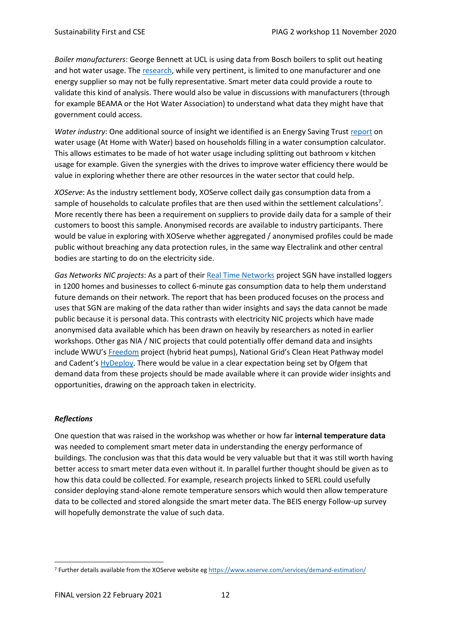*Boiler manufacturers*: George Bennett at UCL is using data from Bosch boilers to split out heating and hot water usage. The [research,](https://www.ucl.ac.uk/bartlett/energy/people/mphilphd-students/past-mphilphd-students/george-bennett) while very pertinent, is limited to one manufacturer and one energy supplier so may not be fully representative. Smart meter data could provide a route to validate this kind of analysis. There would also be value in discussions with manufacturers (through for example BEAMA or the Hot Water Association) to understand what data they might have that government could access.

Water industry: One additional source of insight we identified is an Energy Saving Trust [report](https://www.energysavingtrust.org.uk/sites/default/files/reports/AtHomewithWater(7).pdf) on water usage (At Home with Water) based on households filling in a water consumption calculator. This allows estimates to be made of hot water usage including splitting out bathroom v kitchen usage for example. Given the synergies with the drives to improve water efficiency there would be value in exploring whether there are other resources in the water sector that could help.

*XOServe*: As the industry settlement body, XOServe collect daily gas consumption data from a sample of households to calculate profiles that are then used within the settlement calculations<sup>7</sup>. More recently there has been a requirement on suppliers to provide daily data for a sample of their customers to boost this sample. Anonymised records are available to industry participants. There would be value in exploring with XOServe whether aggregated / anonymised profiles could be made public without breaching any data protection rules, in the same way Electralink and other central bodies are starting to do on the electricity side.

*Gas Networks NIC projects*: As a part of their [Real Time Networks](https://www.sgn.co.uk/about-us/future-of-gas/hydrogen/real-time-networks) project SGN have installed loggers in 1200 homes and businesses to collect 6-minute gas consumption data to help them understand future demands on their network. The report that has been produced focuses on the process and uses that SGN are making of the data rather than wider insights and says the data cannot be made public because it is personal data. This contrasts with electricity NIC projects which have made anonymised data available which has been drawn on heavily by researchers as noted in earlier workshops. Other gas NIA / NIC projects that could potentially offer demand data and insights include WWU's [Freedom](https://www.westernpower.co.uk/projects/freedom) project (hybrid heat pumps), National Grid's Clean Heat Pathway model and Cadent's [HyDeploy.](https://hydeploy.co.uk/) There would be value in a clear expectation being set by Ofgem that demand data from these projects should be made available where it can provide wider insights and opportunities, drawing on the approach taken in electricity.

#### *Reflections*

One question that was raised in the workshop was whether or how far **internal temperature data** was needed to complement smart meter data in understanding the energy performance of buildings. The conclusion was that this data would be very valuable but that it was still worth having better access to smart meter data even without it. In parallel further thought should be given as to how this data could be collected. For example, research projects linked to SERL could usefully consider deploying stand-alone remote temperature sensors which would then allow temperature data to be collected and stored alongside the smart meter data. The BEIS energy Follow-up survey will hopefully demonstrate the value of such data.

<sup>7</sup> Further details available from the XOServe website e[g https://www.xoserve.com/services/demand-estimation/](https://www.xoserve.com/services/demand-estimation/)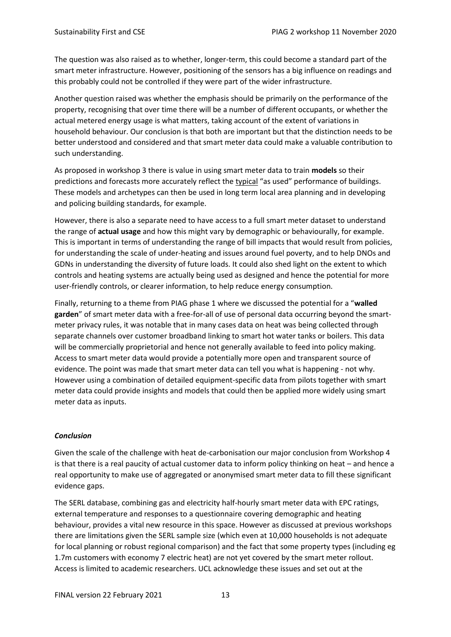The question was also raised as to whether, longer-term, this could become a standard part of the smart meter infrastructure. However, positioning of the sensors has a big influence on readings and this probably could not be controlled if they were part of the wider infrastructure.

Another question raised was whether the emphasis should be primarily on the performance of the property, recognising that over time there will be a number of different occupants, or whether the actual metered energy usage is what matters, taking account of the extent of variations in household behaviour. Our conclusion is that both are important but that the distinction needs to be better understood and considered and that smart meter data could make a valuable contribution to such understanding.

As proposed in workshop 3 there is value in using smart meter data to train **models** so their predictions and forecasts more accurately reflect the typical "as used" performance of buildings. These models and archetypes can then be used in long term local area planning and in developing and policing building standards, for example.

However, there is also a separate need to have access to a full smart meter dataset to understand the range of **actual usage** and how this might vary by demographic or behaviourally, for example. This is important in terms of understanding the range of bill impacts that would result from policies, for understanding the scale of under-heating and issues around fuel poverty, and to help DNOs and GDNs in understanding the diversity of future loads. It could also shed light on the extent to which controls and heating systems are actually being used as designed and hence the potential for more user-friendly controls, or clearer information, to help reduce energy consumption.

Finally, returning to a theme from PIAG phase 1 where we discussed the potential for a "**walled garden**" of smart meter data with a free-for-all of use of personal data occurring beyond the smartmeter privacy rules, it was notable that in many cases data on heat was being collected through separate channels over customer broadband linking to smart hot water tanks or boilers. This data will be commercially proprietorial and hence not generally available to feed into policy making. Access to smart meter data would provide a potentially more open and transparent source of evidence. The point was made that smart meter data can tell you what is happening - not why. However using a combination of detailed equipment-specific data from pilots together with smart meter data could provide insights and models that could then be applied more widely using smart meter data as inputs.

#### *Conclusion*

Given the scale of the challenge with heat de-carbonisation our major conclusion from Workshop 4 is that there is a real paucity of actual customer data to inform policy thinking on heat – and hence a real opportunity to make use of aggregated or anonymised smart meter data to fill these significant evidence gaps.

The SERL database, combining gas and electricity half-hourly smart meter data with EPC ratings, external temperature and responses to a questionnaire covering demographic and heating behaviour, provides a vital new resource in this space. However as discussed at previous workshops there are limitations given the SERL sample size (which even at 10,000 households is not adequate for local planning or robust regional comparison) and the fact that some property types (including eg 1.7m customers with economy 7 electric heat) are not yet covered by the smart meter rollout. Access is limited to academic researchers. UCL acknowledge these issues and set out at the